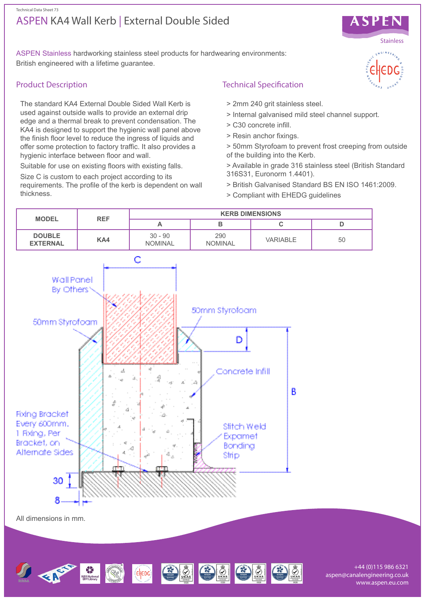# ASPEN KA4 Wall Kerb | External Double Sided Technical Data Sheet 73



ASPEN Stainless hardworking stainless steel products for hardwearing environments: British engineered with a lifetime guarantee.

# Product Description

The standard KA4 External Double Sided Wall Kerb is used against outside walls to provide an external drip edge and a thermal break to prevent condensation. The KA4 is designed to support the hygienic wall panel above the finish floor level to reduce the ingress of liquids and offer some protection to factory traffic. It also provides a hygienic interface between floor and wall.

Suitable for use on existing floors with existing falls.

Size C is custom to each project according to its requirements. The profile of the kerb is dependent on wall thickness.

# Technical Specification

- > 2mm 240 grit stainless steel.
- > Internal galvanised mild steel channel support.
- > C30 concrete infill.
- > Resin anchor fixings.
- > 50mm Styrofoam to prevent frost creeping from outside of the building into the Kerb.
- > Available in grade 316 stainless steel (British Standard 316S31, Euronorm 1.4401).
- > British Galvanised Standard BS EN ISO 1461:2009.
- > Compliant with EHEDG guidelines